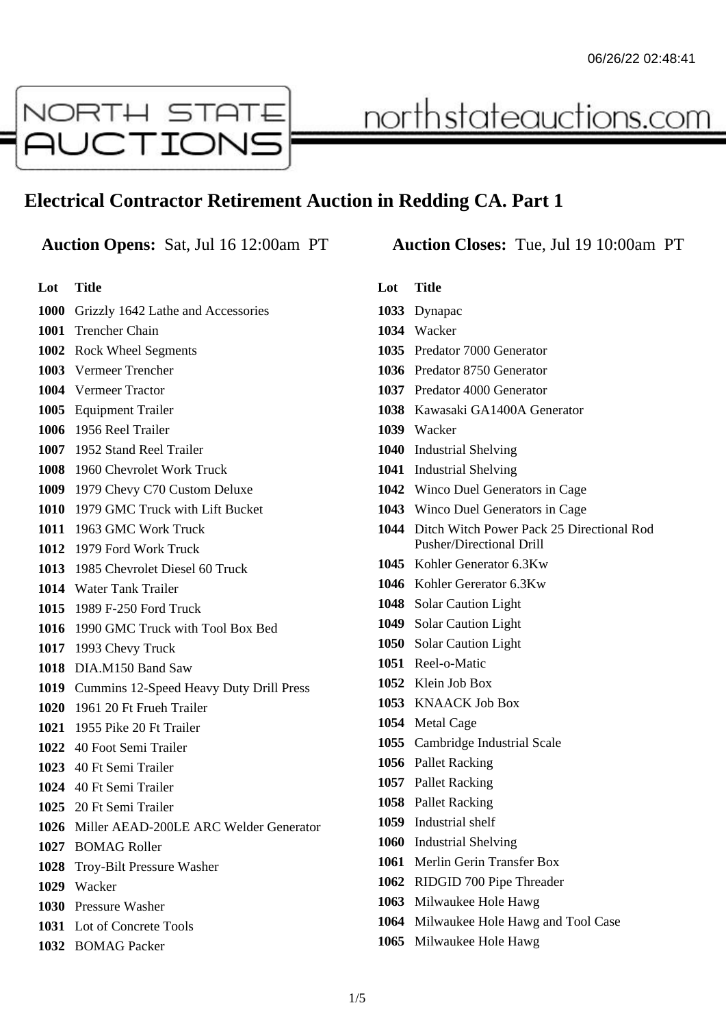

# <u>northstateauctions.com</u>

# **Electrical Contractor Retirement Auction in Redding CA. Part 1**

## **Auction Opens:** Sat, Jul 16 12:00am PT **Auction Closes:** Tue, Jul 19 10:00am PT

**Lot Title** Grizzly 1642 Lathe and Accessories Trencher Chain Rock Wheel Segments Vermeer Trencher Vermeer Tractor Equipment Trailer 1956 Reel Trailer 1952 Stand Reel Trailer 1960 Chevrolet Work Truck 1979 Chevy C70 Custom Deluxe 1979 GMC Truck with Lift Bucket 1963 GMC Work Truck 1979 Ford Work Truck 1985 Chevrolet Diesel 60 Truck Water Tank Trailer 1989 F-250 Ford Truck 1990 GMC Truck with Tool Box Bed 1993 Chevy Truck DIA.M150 Band Saw Cummins 12-Speed Heavy Duty Drill Press 1961 20 Ft Frueh Trailer 1955 Pike 20 Ft Trailer 40 Foot Semi Trailer 40 Ft Semi Trailer 40 Ft Semi Trailer 20 Ft Semi Trailer Miller AEAD-200LE ARC Welder Generator BOMAG Roller Troy-Bilt Pressure Washer Wacker Pressure Washer Lot of Concrete Tools BOMAG Packer

# **Lot Title** Dynapac Wacker Predator 7000 Generator Predator 8750 Generator Predator 4000 Generator Kawasaki GA1400A Generator Wacker Industrial Shelving Industrial Shelving Winco Duel Generators in Cage Winco Duel Generators in Cage Ditch Witch Power Pack 25 Directional Rod Pusher/Directional Drill Kohler Generator 6.3Kw Kohler Gererator 6.3Kw Solar Caution Light Solar Caution Light Solar Caution Light Reel-o-Matic Klein Job Box KNAACK Job Box Metal Cage Cambridge Industrial Scale Pallet Racking Pallet Racking Pallet Racking Industrial shelf Industrial Shelving Merlin Gerin Transfer Box RIDGID 700 Pipe Threader Milwaukee Hole Hawg Milwaukee Hole Hawg and Tool Case Milwaukee Hole Hawg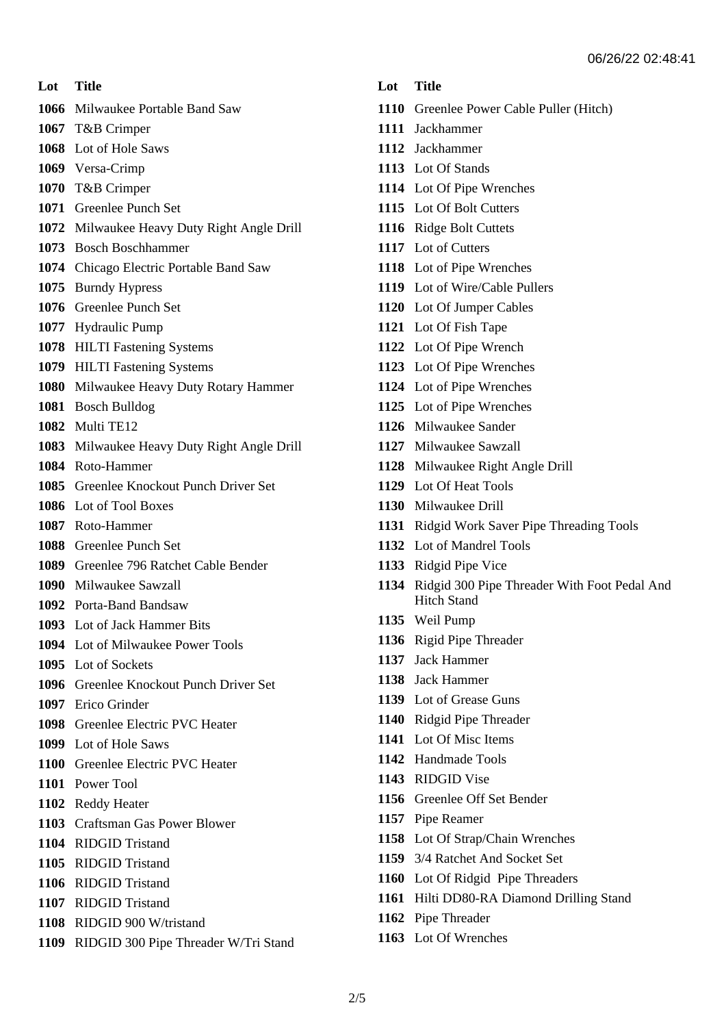**Lot Title**

- Milwaukee Portable Band Saw
- T&B Crimper
- Lot of Hole Saws
- Versa-Crimp
- T&B Crimper
- Greenlee Punch Set
- Milwaukee Heavy Duty Right Angle Drill
- Bosch Boschhammer
- Chicago Electric Portable Band Saw
- Burndy Hypress
- Greenlee Punch Set
- Hydraulic Pump
- HILTI Fastening Systems
- HILTI Fastening Systems
- Milwaukee Heavy Duty Rotary Hammer
- Bosch Bulldog
- Multi TE12
- Milwaukee Heavy Duty Right Angle Drill
- Roto-Hammer
- Greenlee Knockout Punch Driver Set
- Lot of Tool Boxes
- Roto-Hammer
- Greenlee Punch Set
- Greenlee 796 Ratchet Cable Bender
- Milwaukee Sawzall
- Porta-Band Bandsaw
- Lot of Jack Hammer Bits
- Lot of Milwaukee Power Tools
- Lot of Sockets
- Greenlee Knockout Punch Driver Set
- Erico Grinder
- Greenlee Electric PVC Heater
- Lot of Hole Saws
- Greenlee Electric PVC Heater
- Power Tool
- Reddy Heater
- Craftsman Gas Power Blower
- RIDGID Tristand
- RIDGID Tristand
- RIDGID Tristand
- RIDGID Tristand
- RIDGID 900 W/tristand
- RIDGID 300 Pipe Threader W/Tri Stand

#### **Lot Title**

- Greenlee Power Cable Puller (Hitch)
- Jackhammer
- Jackhammer
- Lot Of Stands
- Lot Of Pipe Wrenches
- Lot Of Bolt Cutters
- Ridge Bolt Cuttets
- Lot of Cutters
- Lot of Pipe Wrenches
- Lot of Wire/Cable Pullers
- Lot Of Jumper Cables
- Lot Of Fish Tape
- Lot Of Pipe Wrench
- Lot Of Pipe Wrenches
- Lot of Pipe Wrenches
- Lot of Pipe Wrenches
- Milwaukee Sander
- Milwaukee Sawzall
- Milwaukee Right Angle Drill
- Lot Of Heat Tools
- Milwaukee Drill
- Ridgid Work Saver Pipe Threading Tools
- Lot of Mandrel Tools
- Ridgid Pipe Vice
- Ridgid 300 Pipe Threader With Foot Pedal And Hitch Stand
- Weil Pump
- Rigid Pipe Threader
- Jack Hammer
- Jack Hammer
- Lot of Grease Guns
- Ridgid Pipe Threader
- Lot Of Misc Items
- Handmade Tools
- RIDGID Vise
- Greenlee Off Set Bender
- Pipe Reamer
- Lot Of Strap/Chain Wrenches
- 3/4 Ratchet And Socket Set
- Lot Of Ridgid Pipe Threaders
- Hilti DD80-RA Diamond Drilling Stand
- Pipe Threader
- Lot Of Wrenches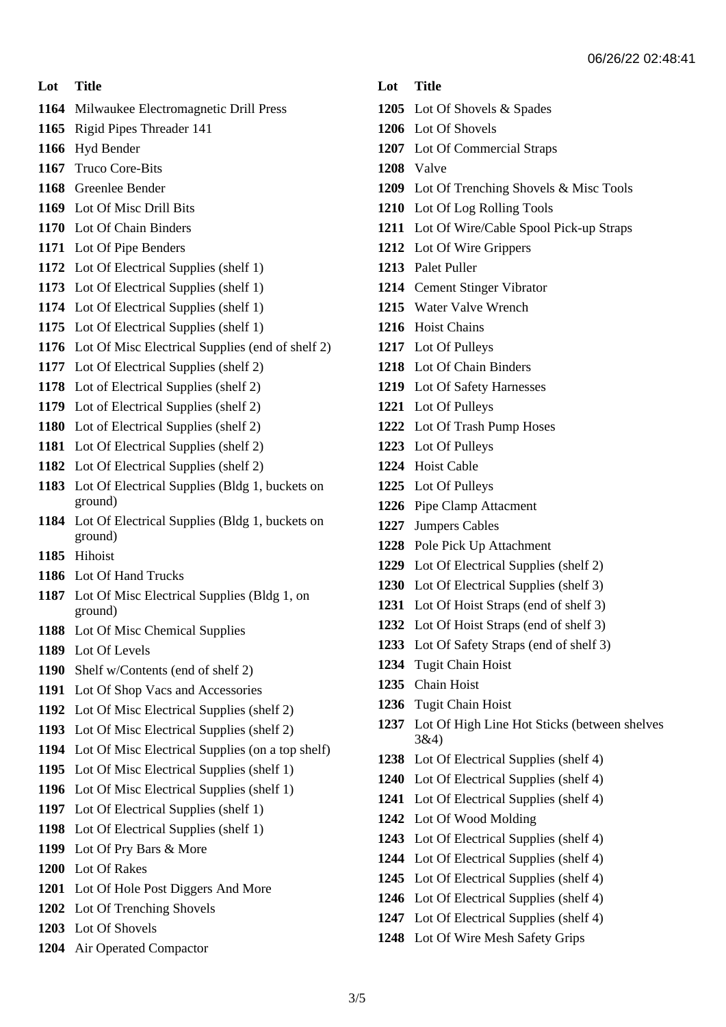#### **Lot Title**

- Milwaukee Electromagnetic Drill Press
- Rigid Pipes Threader 141
- Hyd Bender
- Truco Core-Bits
- Greenlee Bender
- Lot Of Misc Drill Bits
- Lot Of Chain Binders
- Lot Of Pipe Benders
- Lot Of Electrical Supplies (shelf 1)
- Lot Of Electrical Supplies (shelf 1)
- Lot Of Electrical Supplies (shelf 1)
- Lot Of Electrical Supplies (shelf 1)
- Lot Of Misc Electrical Supplies (end of shelf 2)
- Lot Of Electrical Supplies (shelf 2)
- Lot of Electrical Supplies (shelf 2)
- Lot of Electrical Supplies (shelf 2)
- Lot of Electrical Supplies (shelf 2)
- Lot Of Electrical Supplies (shelf 2)
- Lot Of Electrical Supplies (shelf 2)
- Lot Of Electrical Supplies (Bldg 1, buckets on ground)
- Lot Of Electrical Supplies (Bldg 1, buckets on ground)
- Hihoist
- Lot Of Hand Trucks
- Lot Of Misc Electrical Supplies (Bldg 1, on ground)
- Lot Of Misc Chemical Supplies
- Lot Of Levels
- Shelf w/Contents (end of shelf 2)
- Lot Of Shop Vacs and Accessories
- Lot Of Misc Electrical Supplies (shelf 2)
- Lot Of Misc Electrical Supplies (shelf 2)
- Lot Of Misc Electrical Supplies (on a top shelf)
- Lot Of Misc Electrical Supplies (shelf 1)
- Lot Of Misc Electrical Supplies (shelf 1)
- Lot Of Electrical Supplies (shelf 1)
- Lot Of Electrical Supplies (shelf 1)
- Lot Of Pry Bars & More
- Lot Of Rakes
- Lot Of Hole Post Diggers And More
- Lot Of Trenching Shovels
- Lot Of Shovels
- Air Operated Compactor

### **Lot Title**

- Lot Of Shovels & Spades
- Lot Of Shovels
- Lot Of Commercial Straps
- Valve
- Lot Of Trenching Shovels & Misc Tools
- Lot Of Log Rolling Tools
- Lot Of Wire/Cable Spool Pick-up Straps
- Lot Of Wire Grippers
- Palet Puller
- Cement Stinger Vibrator
- Water Valve Wrench
- Hoist Chains
- Lot Of Pulleys
- Lot Of Chain Binders
- Lot Of Safety Harnesses
- Lot Of Pulleys
- Lot Of Trash Pump Hoses
- Lot Of Pulleys
- Hoist Cable
- Lot Of Pulleys
- Pipe Clamp Attacment
- Jumpers Cables
- Pole Pick Up Attachment
- Lot Of Electrical Supplies (shelf 2)
- Lot Of Electrical Supplies (shelf 3)
- Lot Of Hoist Straps (end of shelf 3)
- Lot Of Hoist Straps (end of shelf 3)
- Lot Of Safety Straps (end of shelf 3)
- Tugit Chain Hoist
- Chain Hoist
- Tugit Chain Hoist
- Lot Of High Line Hot Sticks (between shelves 3&4)
- Lot Of Electrical Supplies (shelf 4)
- Lot Of Electrical Supplies (shelf 4)
- Lot Of Electrical Supplies (shelf 4)
- Lot Of Wood Molding
- Lot Of Electrical Supplies (shelf 4)
- Lot Of Electrical Supplies (shelf 4)
- Lot Of Electrical Supplies (shelf 4)
- Lot Of Electrical Supplies (shelf 4)
- Lot Of Electrical Supplies (shelf 4)
- Lot Of Wire Mesh Safety Grips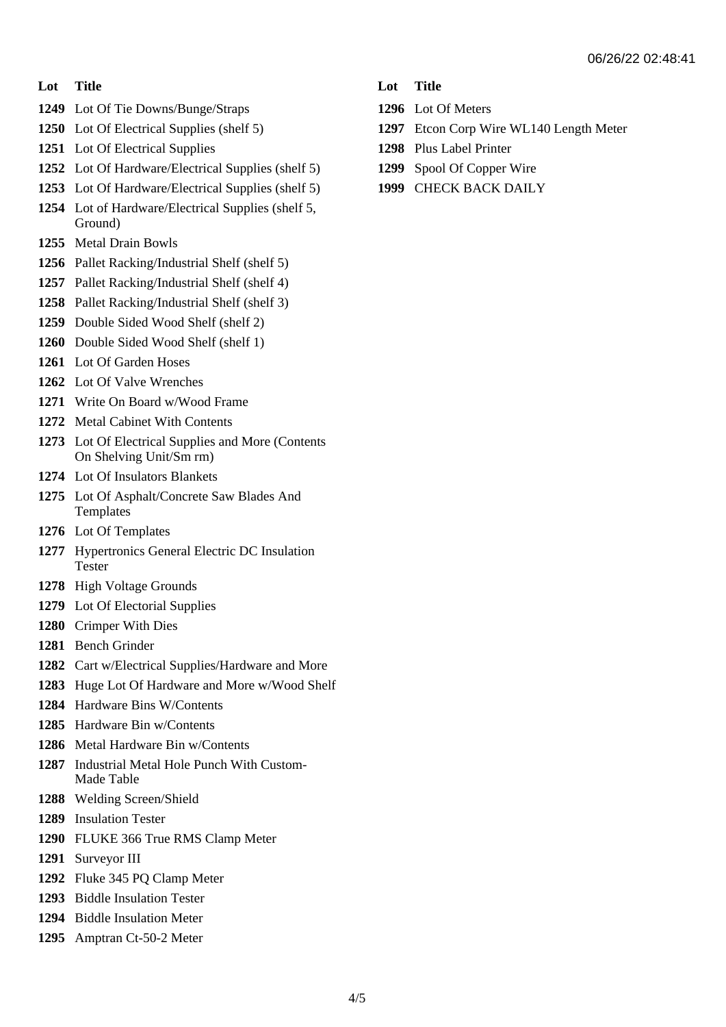#### **Lot Title**

- Lot Of Tie Downs/Bunge/Straps
- Lot Of Electrical Supplies (shelf 5)
- Lot Of Electrical Supplies
- Lot Of Hardware/Electrical Supplies (shelf 5)
- Lot Of Hardware/Electrical Supplies (shelf 5)
- Lot of Hardware/Electrical Supplies (shelf 5, Ground)
- Metal Drain Bowls
- Pallet Racking/Industrial Shelf (shelf 5)
- Pallet Racking/Industrial Shelf (shelf 4)
- Pallet Racking/Industrial Shelf (shelf 3)
- Double Sided Wood Shelf (shelf 2)
- Double Sided Wood Shelf (shelf 1)
- Lot Of Garden Hoses
- Lot Of Valve Wrenches
- Write On Board w/Wood Frame
- Metal Cabinet With Contents
- Lot Of Electrical Supplies and More (Contents On Shelving Unit/Sm rm)
- Lot Of Insulators Blankets
- Lot Of Asphalt/Concrete Saw Blades And Templates
- Lot Of Templates
- Hypertronics General Electric DC Insulation Tester
- High Voltage Grounds
- Lot Of Electorial Supplies
- Crimper With Dies
- Bench Grinder
- Cart w/Electrical Supplies/Hardware and More
- Huge Lot Of Hardware and More w/Wood Shelf
- Hardware Bins W/Contents
- Hardware Bin w/Contents
- Metal Hardware Bin w/Contents
- Industrial Metal Hole Punch With Custom-Made Table
- Welding Screen/Shield
- Insulation Tester
- FLUKE 366 True RMS Clamp Meter
- Surveyor III
- Fluke 345 PQ Clamp Meter
- Biddle Insulation Tester
- Biddle Insulation Meter
- Amptran Ct-50-2 Meter

## **Lot Title**

- Lot Of Meters
- Etcon Corp Wire WL140 Length Meter
- Plus Label Printer
- Spool Of Copper Wire
- CHECK BACK DAILY